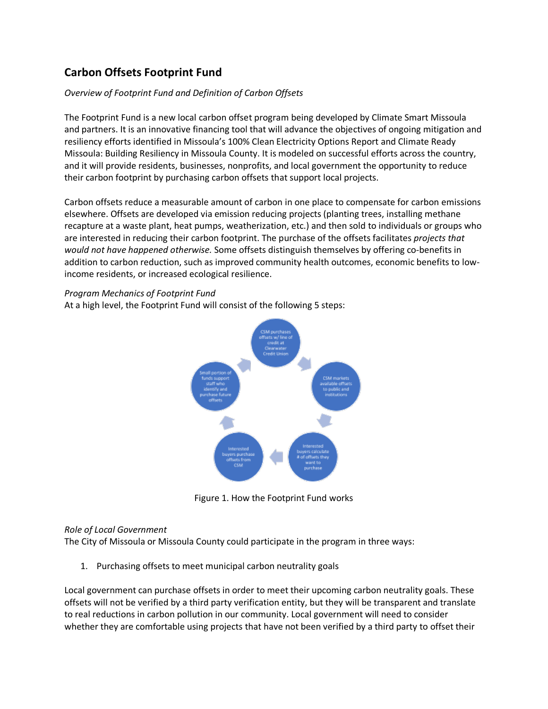# **Carbon Offsets Footprint Fund**

## *Overview of Footprint Fund and Definition of Carbon Offsets*

The Footprint Fund is a new local carbon offset program being developed by Climate Smart Missoula and partners. It is an innovative financing tool that will advance the objectives of ongoing mitigation and resiliency efforts identified in Missoula's 100% Clean Electricity Options Report and Climate Ready Missoula: Building Resiliency in Missoula County. It is modeled on successful efforts across the country, and it will provide residents, businesses, nonprofits, and local government the opportunity to reduce their carbon footprint by purchasing carbon offsets that support local projects.

Carbon offsets reduce a measurable amount of carbon in one place to compensate for carbon emissions elsewhere. Offsets are developed via emission reducing projects (planting trees, installing methane recapture at a waste plant, heat pumps, weatherization, etc.) and then sold to individuals or groups who are interested in reducing their carbon footprint. The purchase of the offsets facilitates *projects that would not have happened otherwise.* Some offsets distinguish themselves by offering co-benefits in addition to carbon reduction, such as improved community health outcomes, economic benefits to lowincome residents, or increased ecological resilience.

#### *Program Mechanics of Footprint Fund*

At a high level, the Footprint Fund will consist of the following 5 steps:



Figure 1. How the Footprint Fund works

#### *Role of Local Government*

The City of Missoula or Missoula County could participate in the program in three ways:

1. Purchasing offsets to meet municipal carbon neutrality goals

Local government can purchase offsets in order to meet their upcoming carbon neutrality goals. These offsets will not be verified by a third party verification entity, but they will be transparent and translate to real reductions in carbon pollution in our community. Local government will need to consider whether they are comfortable using projects that have not been verified by a third party to offset their